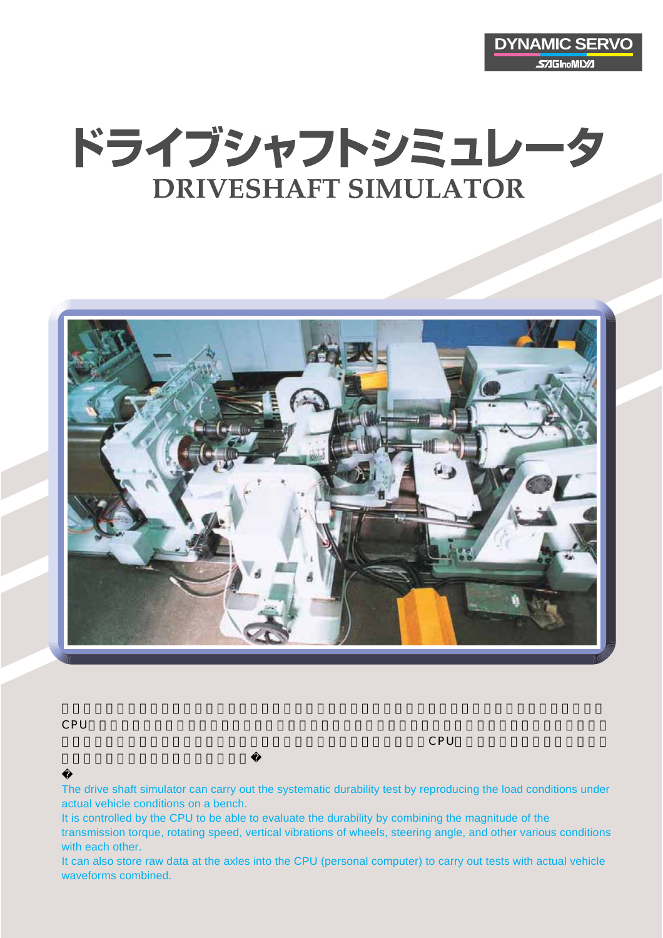

## ドライブシャフトシミュレータ **DRIVESHAFT SIMULATOR**



CPUにより制御され伝達トルク、回転速度、車輪の上下摺動、及びハンドル切れ角度(ステアリング角)など

 $\sim$  CPU(パソコ) に記憶させて耐久性を言うことに記憶させて耐久性を開発することに記憶させて耐久性を開発することに記憶させて

The drive shaft simulator can carry out the systematic durability test by reproducing the load conditions under actual vehicle conditions on a bench.

It is controlled by the CPU to be able to evaluate the durability by combining the magnitude of the transmission torque, rotating speed, vertical vibrations of wheels, steering angle, and other various conditions with each other.

It can also store raw data at the axles into the CPU (personal computer) to carry out tests with actual vehicle waveforms combined.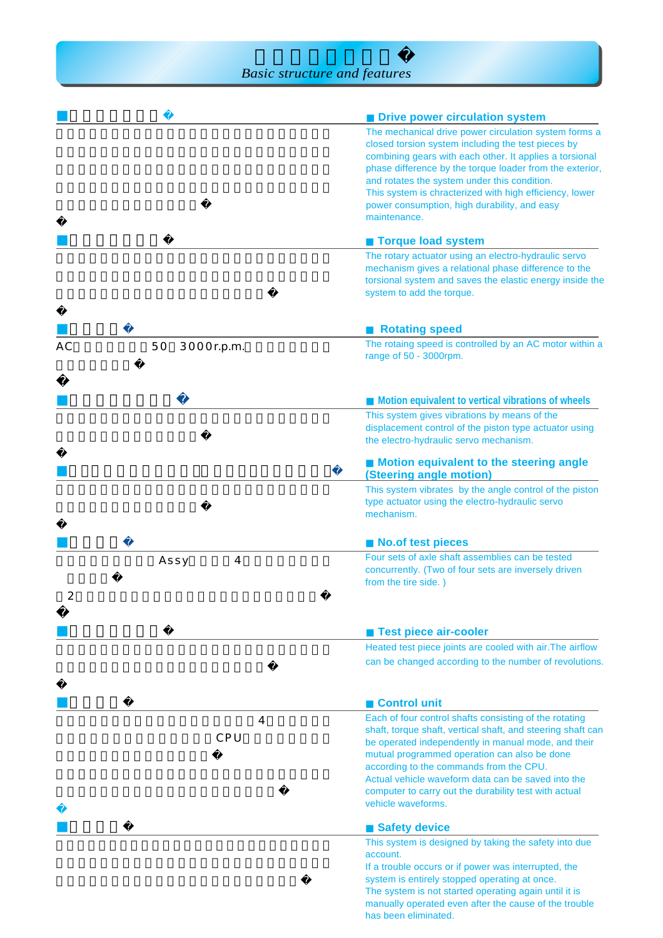|    |                  | <b>Drive power circulation system</b>                                                                                                                                                                                                                                                                                                                                                                         |  |  |
|----|------------------|---------------------------------------------------------------------------------------------------------------------------------------------------------------------------------------------------------------------------------------------------------------------------------------------------------------------------------------------------------------------------------------------------------------|--|--|
|    |                  | The mechanical drive power circulation system forms a<br>closed torsion system including the test pieces by<br>combining gears with each other. It applies a torsional<br>phase difference by the torque loader from the exterior,<br>and rotates the system under this condition.<br>This system is chracterized with high efficiency, lower<br>power consumption, high durability, and easy<br>maintenance. |  |  |
|    |                  | <b>Torque load system</b>                                                                                                                                                                                                                                                                                                                                                                                     |  |  |
|    |                  | The rotary actuator using an electro-hydraulic servo<br>mechanism gives a relational phase difference to the<br>torsional system and saves the elastic energy inside the<br>system to add the torque.                                                                                                                                                                                                         |  |  |
|    |                  | <b>Rotating speed</b>                                                                                                                                                                                                                                                                                                                                                                                         |  |  |
| АC | 3000r.p.m.<br>50 | The rotaing speed is controlled by an AC motor within a<br>range of 50 - 3000rpm.                                                                                                                                                                                                                                                                                                                             |  |  |
|    |                  | Motion equivalent to vertical vibrations of wheels                                                                                                                                                                                                                                                                                                                                                            |  |  |
|    |                  | This system gives vibrations by means of the<br>displacement control of the piston type actuator using<br>the electro-hydraulic servo mechanism.                                                                                                                                                                                                                                                              |  |  |
|    |                  | Motion equivalent to the steering angle<br>(Steering angle motion)                                                                                                                                                                                                                                                                                                                                            |  |  |
|    |                  | This system vibrates by the angle control of the piston<br>type actuator using the electro-hydraulic servo<br>mechanism.                                                                                                                                                                                                                                                                                      |  |  |
|    |                  | <b>No.of test pieces</b>                                                                                                                                                                                                                                                                                                                                                                                      |  |  |
| 2  | Assy<br>4        | Four sets of axle shaft assemblies can be tested<br>concurrently. (Two of four sets are inversely driven<br>from the tire side.)                                                                                                                                                                                                                                                                              |  |  |
|    |                  | <b>Test piece air-cooler</b>                                                                                                                                                                                                                                                                                                                                                                                  |  |  |
|    |                  | Heated test piece joints are cooled with air. The airflow<br>can be changed according to the number of revolutions.                                                                                                                                                                                                                                                                                           |  |  |
|    |                  |                                                                                                                                                                                                                                                                                                                                                                                                               |  |  |
|    |                  | <b>Control unit</b>                                                                                                                                                                                                                                                                                                                                                                                           |  |  |
|    | 4<br>CPU         | Each of four control shafts consisting of the rotating<br>shaft, torque shaft, vertical shaft, and steering shaft can<br>be operated independently in manual mode, and their<br>mutual programmed operation can also be done<br>according to the commands from the CPU.<br>Actual vehicle waveform data can be saved into the<br>computer to carry out the durability test with actual<br>vehicle waveforms.  |  |  |
|    |                  | <b>Safety device</b>                                                                                                                                                                                                                                                                                                                                                                                          |  |  |
|    |                  | This system is designed by taking the safety into due<br>account.                                                                                                                                                                                                                                                                                                                                             |  |  |
|    |                  | If a trouble occurs or if power was interrupted, the<br>system is entirely stopped operating at once.<br>The system is not started operating again until it is<br>manually operated even after the cause of the trouble<br>has been eliminated.                                                                                                                                                               |  |  |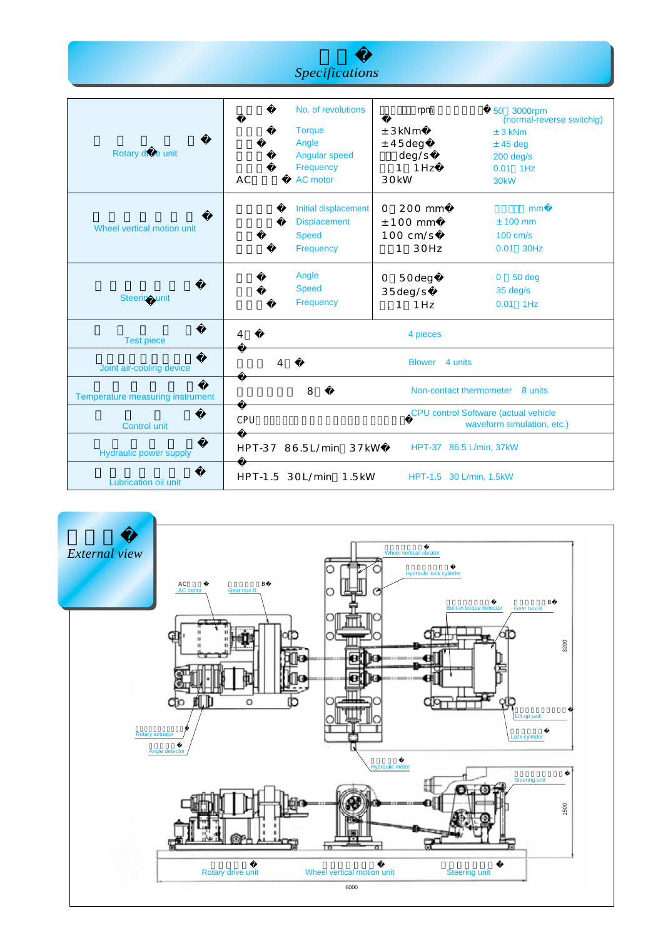| Specifications |  |
|----------------|--|
|                |  |
|                |  |
|                |  |

| Rotary drive unit                | <b>AC</b>       | No. of revolutions<br><b>Torque</b><br>Angle<br>Angular speed<br>Frequency<br>AC motor | rpm<br>± 3kNm<br>$±$ 45deg<br>deg/s<br>$.1$ 1Hz<br>30 <sub>k</sub> W      | 50 3000rpm<br>(normal-reverse switchig)<br>$± 3$ kNm<br>$±$ 45 deg<br>$200$ deg/s<br>$0.01$ 1Hz<br>30 <sub>k</sub> W |
|----------------------------------|-----------------|----------------------------------------------------------------------------------------|---------------------------------------------------------------------------|----------------------------------------------------------------------------------------------------------------------|
| Wheel vertical motion unit       |                 | Initial displacement<br><b>Displacement</b><br><b>Speed</b><br>Frequency               | 200 mm<br>O<br>$± 100$ mm<br>$100 \text{ cm/s}$<br>30Hz<br>$\mathbf{1}$   | mm<br>$± 100$ mm<br>$100 \text{ cm/s}$<br>0.01 30Hz                                                                  |
| <b>Steering unit</b>             |                 | Angle<br><b>Speed</b><br>Frequency                                                     | 50deg<br>0<br>35deg/s<br>1 Hz<br>$\cdot$ 1                                | 50 deg<br>$\mathbf{0}$<br>35 deg/s<br>$0.01$ 1Hz                                                                     |
| <b>Test piece</b>                | 4               |                                                                                        | 4 pieces                                                                  |                                                                                                                      |
| Joint air-cooling device         | 4               |                                                                                        | <b>Blower</b><br>4 units                                                  |                                                                                                                      |
| Temperature measuring instrument |                 | 8                                                                                      | Non-contact thermometer 8 units                                           |                                                                                                                      |
| <b>Control unit</b>              | CPU             |                                                                                        | <b>CPU</b> control Software (actual vehicle<br>waveform simulation, etc.) |                                                                                                                      |
| <b>Hydraulic power supply</b>    |                 | HPT-37 86.5L/min 37kW                                                                  | HPT-37 86.5 L/min, 37kW                                                   |                                                                                                                      |
| Lubrication oil unit             | HPT-1.5 30L/min | $1.5$ kW                                                                               | HPT-1.5 30 L/min, 1.5kW                                                   |                                                                                                                      |